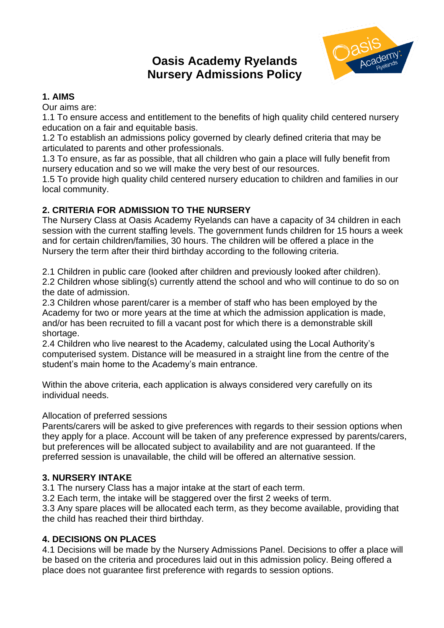# **Oasis Academy Ryelands Nursery Admissions Policy**



#### **1. AIMS**

Our aims are:

1.1 To ensure access and entitlement to the benefits of high quality child centered nursery education on a fair and equitable basis.

1.2 To establish an admissions policy governed by clearly defined criteria that may be articulated to parents and other professionals.

1.3 To ensure, as far as possible, that all children who gain a place will fully benefit from nursery education and so we will make the very best of our resources.

1.5 To provide high quality child centered nursery education to children and families in our local community.

# **2. CRITERIA FOR ADMISSION TO THE NURSERY**

The Nursery Class at Oasis Academy Ryelands can have a capacity of 34 children in each session with the current staffing levels. The government funds children for 15 hours a week and for certain children/families, 30 hours. The children will be offered a place in the Nursery the term after their third birthday according to the following criteria.

2.1 Children in public care (looked after children and previously looked after children). 2.2 Children whose sibling(s) currently attend the school and who will continue to do so on

the date of admission.

2.3 Children whose parent/carer is a member of staff who has been employed by the Academy for two or more years at the time at which the admission application is made, and/or has been recruited to fill a vacant post for which there is a demonstrable skill shortage.

2.4 Children who live nearest to the Academy, calculated using the Local Authority's computerised system. Distance will be measured in a straight line from the centre of the student's main home to the Academy's main entrance.

Within the above criteria, each application is always considered very carefully on its individual needs.

#### Allocation of preferred sessions

Parents/carers will be asked to give preferences with regards to their session options when they apply for a place. Account will be taken of any preference expressed by parents/carers, but preferences will be allocated subject to availability and are not guaranteed. If the preferred session is unavailable, the child will be offered an alternative session.

# **3. NURSERY INTAKE**

3.1 The nursery Class has a major intake at the start of each term.

3.2 Each term, the intake will be staggered over the first 2 weeks of term.

3.3 Any spare places will be allocated each term, as they become available, providing that the child has reached their third birthday.

# **4. DECISIONS ON PLACES**

4.1 Decisions will be made by the Nursery Admissions Panel. Decisions to offer a place will be based on the criteria and procedures laid out in this admission policy. Being offered a place does not guarantee first preference with regards to session options.